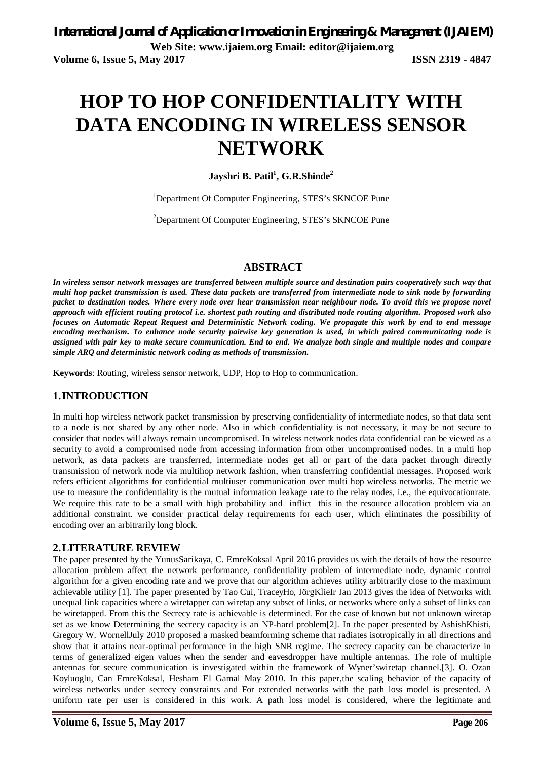# **HOP TO HOP CONFIDENTIALITY WITH DATA ENCODING IN WIRELESS SENSOR NETWORK**

**Jayshri B. Patil<sup>1</sup> , G.R.Shinde<sup>2</sup>**

<sup>1</sup>Department Of Computer Engineering, STES's SKNCOE Pune

<sup>2</sup>Department Of Computer Engineering, STES's SKNCOE Pune

#### **ABSTRACT**

*In wireless sensor network messages are transferred between multiple source and destination pairs cooperatively such way that multi hop packet transmission is used. These data packets are transferred from intermediate node to sink node by forwarding packet to destination nodes. Where every node over hear transmission near neighbour node. To avoid this we propose novel approach with efficient routing protocol i.e. shortest path routing and distributed node routing algorithm. Proposed work also focuses on Automatic Repeat Request and Deterministic Network coding. We propagate this work by end to end message encoding mechanism. To enhance node security pairwise key generation is used, in which paired communicating node is assigned with pair key to make secure communication. End to end. We analyze both single and multiple nodes and compare simple ARQ and deterministic network coding as methods of transmission.*

**Keywords**: Routing, wireless sensor network, UDP, Hop to Hop to communication.

#### **1.INTRODUCTION**

In multi hop wireless network packet transmission by preserving confidentiality of intermediate nodes, so that data sent to a node is not shared by any other node. Also in which confidentiality is not necessary, it may be not secure to consider that nodes will always remain uncompromised. In wireless network nodes data confidential can be viewed as a security to avoid a compromised node from accessing information from other uncompromised nodes. In a multi hop network, as data packets are transferred, intermediate nodes get all or part of the data packet through directly transmission of network node via multihop network fashion, when transferring confidential messages. Proposed work refers efficient algorithms for confidential multiuser communication over multi hop wireless networks. The metric we use to measure the confidentiality is the mutual information leakage rate to the relay nodes, i.e., the equivocationrate. We require this rate to be a small with high probability and inflict this in the resource allocation problem via an additional constraint. we consider practical delay requirements for each user, which eliminates the possibility of encoding over an arbitrarily long block.

#### **2.LITERATURE REVIEW**

The paper presented by the YunusSarikaya, C. EmreKoksal April 2016 provides us with the details of how the resource allocation problem affect the network performance, confidentiality problem of intermediate node, dynamic control algorithm for a given encoding rate and we prove that our algorithm achieves utility arbitrarily close to the maximum achievable utility [1]. The paper presented by Tao Cui, TraceyHo, JörgKlieIr Jan 2013 gives the idea of Networks with unequal link capacities where a wiretapper can wiretap any subset of links, or networks where only a subset of links can be wiretapped. From this the Secrecy rate is achievable is determined. For the case of known but not unknown wiretap set as we know Determining the secrecy capacity is an NP-hard problem[2]. In the paper presented by AshishKhisti, Gregory W. WornellJuly 2010 proposed a masked beamforming scheme that radiates isotropically in all directions and show that it attains near-optimal performance in the high SNR regime. The secrecy capacity can be characterize in terms of generalized eigen values when the sender and eavesdropper have multiple antennas. The role of multiple antennas for secure communication is investigated within the framework of Wyner'swiretap channel.[3]. O. Ozan Koyluoglu, Can EmreKoksal, Hesham El Gamal May 2010. In this paper,the scaling behavior of the capacity of wireless networks under secrecy constraints and For extended networks with the path loss model is presented. A uniform rate per user is considered in this work. A path loss model is considered, where the legitimate and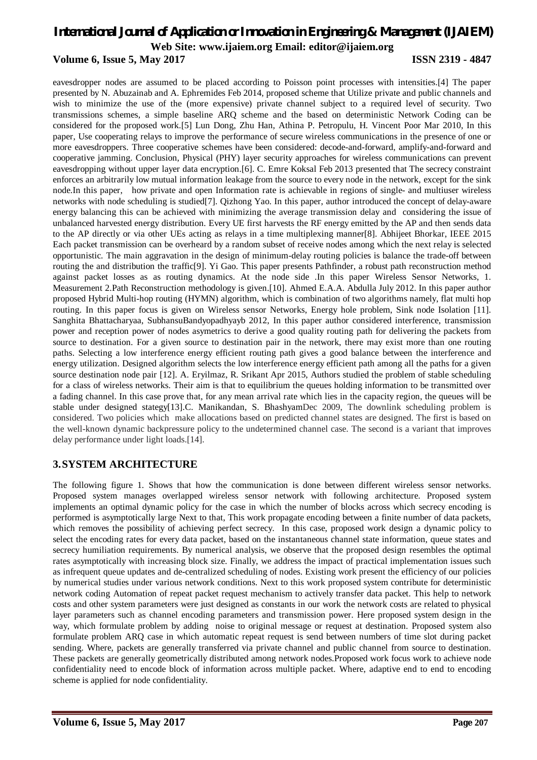#### **Volume 6, Issue 5, May 2017 ISSN 2319 - 4847**

eavesdropper nodes are assumed to be placed according to Poisson point processes with intensities.[4] The paper presented by N. Abuzainab and A. Ephremides Feb 2014, proposed scheme that Utilize private and public channels and wish to minimize the use of the (more expensive) private channel subject to a required level of security. Two transmissions schemes, a simple baseline ARQ scheme and the based on deterministic Network Coding can be considered for the proposed work.[5] Lun Dong, Zhu Han, Athina P. Petropulu, H. Vincent Poor Mar 2010, In this paper, Use cooperating relays to improve the performance of secure wireless communications in the presence of one or more eavesdroppers. Three cooperative schemes have been considered: decode-and-forward, amplify-and-forward and cooperative jamming. Conclusion, Physical (PHY) layer security approaches for wireless communications can prevent eavesdropping without upper layer data encryption.[6]. C. Emre Koksal Feb 2013 presented that The secrecy constraint enforces an arbitrarily low mutual information leakage from the source to every node in the network, except for the sink node.In this paper, how private and open Information rate is achievable in regions of single- and multiuser wireless networks with node scheduling is studied[7]. Qizhong Yao. In this paper, author introduced the concept of delay-aware energy balancing this can be achieved with minimizing the average transmission delay and considering the issue of unbalanced harvested energy distribution. Every UE first harvests the RF energy emitted by the AP and then sends data to the AP directly or via other UEs acting as relays in a time multiplexing manner[8]. Abhijeet Bhorkar, IEEE 2015 Each packet transmission can be overheard by a random subset of receive nodes among which the next relay is selected opportunistic. The main aggravation in the design of minimum-delay routing policies is balance the trade-off between routing the and distribution the traffic[9]. Yi Gao. This paper presents Pathfinder, a robust path reconstruction method against packet losses as as routing dynamics. At the node side .In this paper Wireless Sensor Networks, 1. Measurement 2.Path Reconstruction methodology is given.[10]. Ahmed E.A.A. Abdulla July 2012. In this paper author proposed Hybrid Multi-hop routing (HYMN) algorithm, which is combination of two algorithms namely, flat multi hop routing. In this paper focus is given on Wireless sensor Networks, Energy hole problem, Sink node Isolation [11]. Sanghita Bhattacharyaa, SubhansuBandyopadhyayb 2012, In this paper author considered interference, transmission power and reception power of nodes asymetrics to derive a good quality routing path for delivering the packets from source to destination. For a given source to destination pair in the network, there may exist more than one routing paths. Selecting a low interference energy efficient routing path gives a good balance between the interference and energy utilization. Designed algorithm selects the low interference energy efficient path among all the paths for a given source destination node pair [12]. A. Eryilmaz, R. Srikant Apr 2015, Authors studied the problem of stable scheduling for a class of wireless networks. Their aim is that to equilibrium the queues holding information to be transmitted over a fading channel. In this case prove that, for any mean arrival rate which lies in the capacity region, the queues will be stable under designed stategy[13].C. Manikandan, S. BhashyamDec 2009, The downlink scheduling problem is considered. Two policies which make allocations based on predicted channel states are designed. The first is based on the well-known dynamic backpressure policy to the undetermined channel case. The second is a variant that improves delay performance under light loads.[14].

#### **3.SYSTEM ARCHITECTURE**

The following figure 1. Shows that how the communication is done between different wireless sensor networks. Proposed system manages overlapped wireless sensor network with following architecture. Proposed system implements an optimal dynamic policy for the case in which the number of blocks across which secrecy encoding is performed is asymptotically large Next to that, This work propagate encoding between a finite number of data packets, which removes the possibility of achieving perfect secrecy. In this case, proposed work design a dynamic policy to select the encoding rates for every data packet, based on the instantaneous channel state information, queue states and secrecy humiliation requirements. By numerical analysis, we observe that the proposed design resembles the optimal rates asymptotically with increasing block size. Finally, we address the impact of practical implementation issues such as infrequent queue updates and de-centralized scheduling of nodes. Existing work present the efficiency of our policies by numerical studies under various network conditions. Next to this work proposed system contribute for deterministic network coding Automation of repeat packet request mechanism to actively transfer data packet. This help to network costs and other system parameters were just designed as constants in our work the network costs are related to physical layer parameters such as channel encoding parameters and transmission power. Here proposed system design in the way, which formulate problem by adding noise to original message or request at destination. Proposed system also formulate problem ARQ case in which automatic repeat request is send between numbers of time slot during packet sending. Where, packets are generally transferred via private channel and public channel from source to destination. These packets are generally geometrically distributed among network nodes.Proposed work focus work to achieve node confidentiality need to encode block of information across multiple packet. Where, adaptive end to end to encoding scheme is applied for node confidentiality.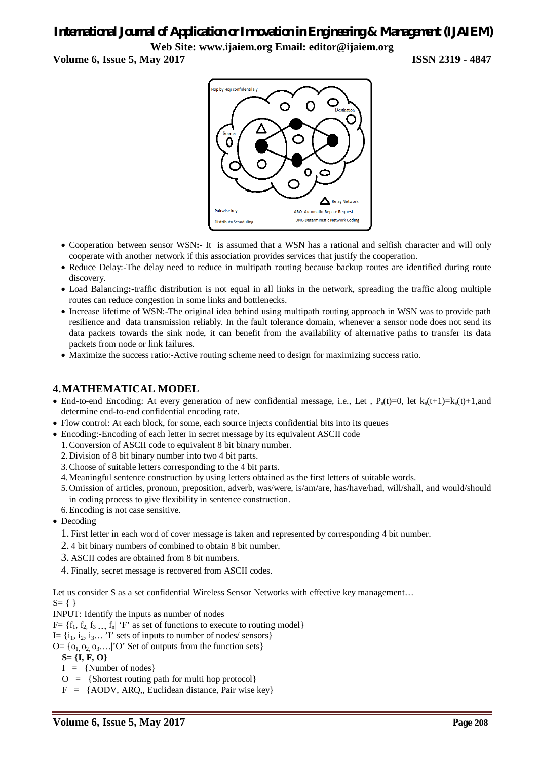**Volume 6, Issue 5, May 2017 ISSN 2319 - 4847**



- Cooperation between sensor WSN**:-** It is assumed that a WSN has a rational and selfish character and will only cooperate with another network if this association provides services that justify the cooperation.
- Reduce Delay:-The delay need to reduce in multipath routing because backup routes are identified during route discovery.
- Load Balancing**:-**traffic distribution is not equal in all links in the network, spreading the traffic along multiple routes can reduce congestion in some links and bottlenecks.
- Increase lifetime of WSN:-The original idea behind using multipath routing approach in WSN was to provide path resilience and data transmission reliably. In the fault tolerance domain, whenever a sensor node does not send its data packets towards the sink node, it can benefit from the availability of alternative paths to transfer its data packets from node or link failures.
- Maximize the success ratio:-Active routing scheme need to design for maximizing success ratio.

#### **4.MATHEMATICAL MODEL**

- End-to-end Encoding: At every generation of new confidential message, i.e., Let ,  $P_s(t)=0$ , let  $k_s(t+1)=k_s(t)+1$ ,and determine end-to-end confidential encoding rate.
- Flow control: At each block, for some, each source injects confidential bits into its queues
- Encoding:-Encoding of each letter in secret message by its equivalent ASCII code
	- 1.Conversion of ASCII code to equivalent 8 bit binary number.
	- 2.Division of 8 bit binary number into two 4 bit parts.
	- 3.Choose of suitable letters corresponding to the 4 bit parts.
	- 4.Meaningful sentence construction by using letters obtained as the first letters of suitable words.
	- 5.Omission of articles, pronoun, preposition, adverb, was/were, is/am/are, has/have/had, will/shall, and would/should in coding process to give flexibility in sentence construction.
	- 6.Encoding is not case sensitive.
- Decoding
	- 1. First letter in each word of cover message is taken and represented by corresponding 4 bit number.
	- 2. 4 bit binary numbers of combined to obtain 8 bit number.
	- 3. ASCII codes are obtained from 8 bit numbers.
	- 4. Finally, secret message is recovered from ASCII codes.

Let us consider S as a set confidential Wireless Sensor Networks with effective key management...  $S = \{ \}$ 

INPUT: Identify the inputs as number of nodes

 $F = \{f_1, f_2, f_3, \ldots, f_n\}$  'F' as set of functions to execute to routing model

I=  $\{i_1, i_2, i_3 \ldots | T \}$  sets of inputs to number of nodes/ sensors  $\}$ 

 $Q = \{o_1, o_2, o_3, \ldots\}$  O' Set of outputs from the function sets

- **S= {I, F, O}**
- $I = \{Number of nodes\}$
- $O = {Shortest routing path for multi-hop protocol}$

 $F = \{AODV, ARQ, Euclidean distance, Pair wise key\}$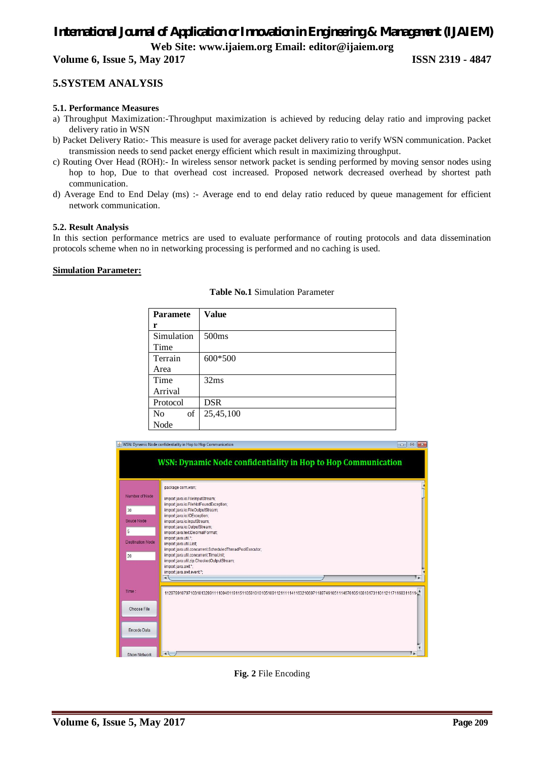**Volume 6, Issue 5, May 2017 ISSN 2319 - 4847**

#### **5.SYSTEM ANALYSIS**

#### **5.1. Performance Measures**

- a) Throughput Maximization:-Throughput maximization is achieved by reducing delay ratio and improving packet delivery ratio in WSN
- b) Packet Delivery Ratio:- This measure is used for average packet delivery ratio to verify WSN communication. Packet transmission needs to send packet energy efficient which result in maximizing throughput.
- c) Routing Over Head (ROH):- In wireless sensor network packet is sending performed by moving sensor nodes using hop to hop, Due to that overhead cost increased. Proposed network decreased overhead by shortest path communication.
- d) Average End to End Delay (ms) :- Average end to end delay ratio reduced by queue management for efficient network communication.

#### **5.2. Result Analysis**

In this section performance metrics are used to evaluate performance of routing protocols and data dissemination protocols scheme when no in networking processing is performed and no caching is used.

#### **Simulation Parameter:**

| <b>Paramete</b> | <b>Value</b>      |
|-----------------|-------------------|
| r               |                   |
| Simulation      | 500 <sub>ms</sub> |
| Time            |                   |
| Terrain         | 600*500           |
| Area            |                   |
| Time            | 32ms              |
| Arrival         |                   |
| Protocol        | <b>DSR</b>        |
| of<br>No        | 25,45,100         |
| Node            |                   |

**Table No.1** Simulation Parameter



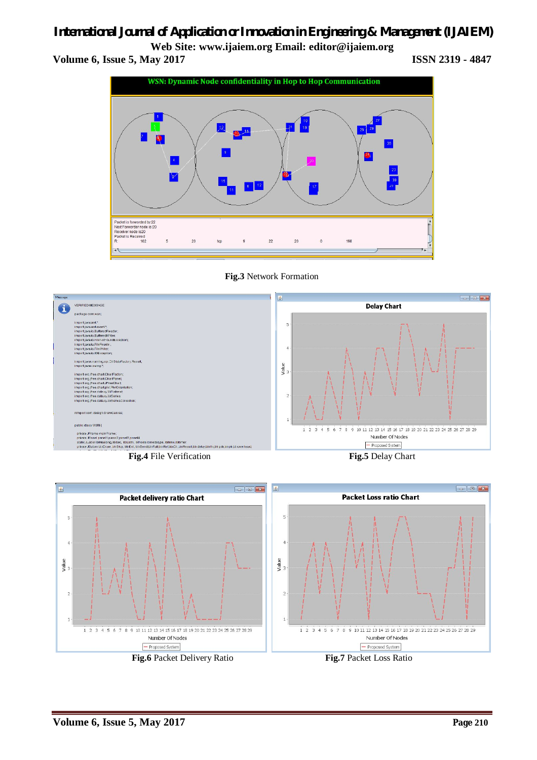# *International Journal of Application or Innovation in Engineering & Management (IJAIEM)*

**Web Site: www.ijaiem.org Email: editor@ijaiem.org Volume 6, Issue 5, May 2017 ISSN 2319 - 4847**



**Fig.3** Network Formation



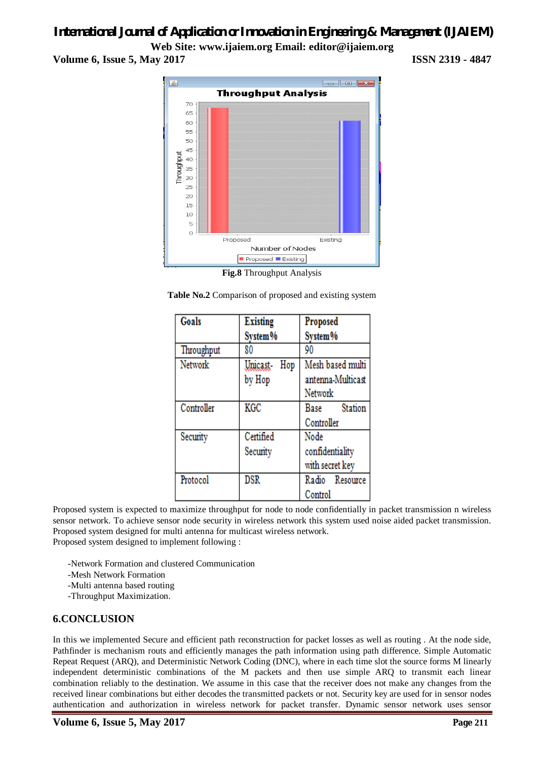# *International Journal of Application or Innovation in Engineering & Management (IJAIEM)*

**Web Site: www.ijaiem.org Email: editor@ijaiem.org Volume 6, Issue 5, May 2017 ISSN 2319 - 4847**



**Fig.8** Throughput Analysis

**Table No.2** Comparison of proposed and existing system

| Goals      | <b>Existing</b> | Proposed          |
|------------|-----------------|-------------------|
|            | System%         | System%           |
| Throughput | 80              | 90                |
| Network    | Unicast-<br>Hop | Mesh based multi  |
|            | by Hop          | antenna-Multicast |
|            |                 | Network           |
| Controller | KGC             | Station<br>Base   |
|            |                 | Controller        |
| Security   | Certified       | Node              |
|            | Security        | confidentiality   |
|            |                 | with secret key   |
| Protocol   | <b>DSR</b>      | Radio Resource    |
|            |                 | Control           |

Proposed system is expected to maximize throughput for node to node confidentially in packet transmission n wireless sensor network. To achieve sensor node security in wireless network this system used noise aided packet transmission. Proposed system designed for multi antenna for multicast wireless network. Proposed system designed to implement following :

-Network Formation and clustered Communication

-Mesh Network Formation

-Multi antenna based routing

-Throughput Maximization.

#### **6.CONCLUSION**

In this we implemented Secure and efficient path reconstruction for packet losses as well as routing . At the node side, Pathfinder is mechanism routs and efficiently manages the path information using path difference. Simple Automatic Repeat Request (ARQ), and Deterministic Network Coding (DNC), where in each time slot the source forms M linearly independent deterministic combinations of the M packets and then use simple ARQ to transmit each linear combination reliably to the destination. We assume in this case that the receiver does not make any changes from the received linear combinations but either decodes the transmitted packets or not. Security key are used for in sensor nodes authentication and authorization in wireless network for packet transfer. Dynamic sensor network uses sensor